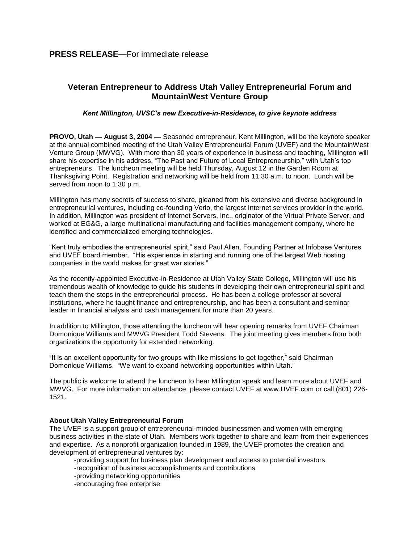## **Veteran Entrepreneur to Address Utah Valley Entrepreneurial Forum and MountainWest Venture Group**

## *Kent Millington, UVSC's new Executive-in-Residence, to give keynote address*

**PROVO, Utah — August 3, 2004 —** Seasoned entrepreneur, Kent Millington, will be the keynote speaker at the annual combined meeting of the Utah Valley Entrepreneurial Forum (UVEF) and the MountainWest Venture Group (MWVG). With more than 30 years of experience in business and teaching, Millington will share his expertise in his address, "The Past and Future of Local Entrepreneurship," with Utah's top entrepreneurs. The luncheon meeting will be held Thursday, August 12 in the Garden Room at Thanksgiving Point. Registration and networking will be held from 11:30 a.m. to noon. Lunch will be served from noon to 1:30 p.m.

Millington has many secrets of success to share, gleaned from his extensive and diverse background in entrepreneurial ventures, including co-founding Verio, the largest Internet services provider in the world. In addition, Millington was president of Internet Servers, Inc., originator of the Virtual Private Server, and worked at EG&G, a large multinational manufacturing and facilities management company, where he identified and commercialized emerging technologies.

"Kent truly embodies the entrepreneurial spirit," said Paul Allen, Founding Partner at Infobase Ventures and UVEF board member. "His experience in starting and running one of the largest Web hosting companies in the world makes for great war stories."

As the recently-appointed Executive-in-Residence at Utah Valley State College, Millington will use his tremendous wealth of knowledge to guide his students in developing their own entrepreneurial spirit and teach them the steps in the entrepreneurial process. He has been a college professor at several institutions, where he taught finance and entrepreneurship, and has been a consultant and seminar leader in financial analysis and cash management for more than 20 years.

In addition to Millington, those attending the luncheon will hear opening remarks from UVEF Chairman Domonique Williams and MWVG President Todd Stevens. The joint meeting gives members from both organizations the opportunity for extended networking.

"It is an excellent opportunity for two groups with like missions to get together," said Chairman Domonique Williams. "We want to expand networking opportunities within Utah."

The public is welcome to attend the luncheon to hear Millington speak and learn more about UVEF and MWVG. For more information on attendance, please contact UVEF at www.UVEF.com or call (801) 226- 1521.

## **About Utah Valley Entrepreneurial Forum**

The UVEF is a support group of entrepreneurial-minded businessmen and women with emerging business activities in the state of Utah. Members work together to share and learn from their experiences and expertise. As a nonprofit organization founded in 1989, the UVEF promotes the creation and development of entrepreneurial ventures by:

-providing support for business plan development and access to potential investors -recognition of business accomplishments and contributions -providing networking opportunities -encouraging free enterprise